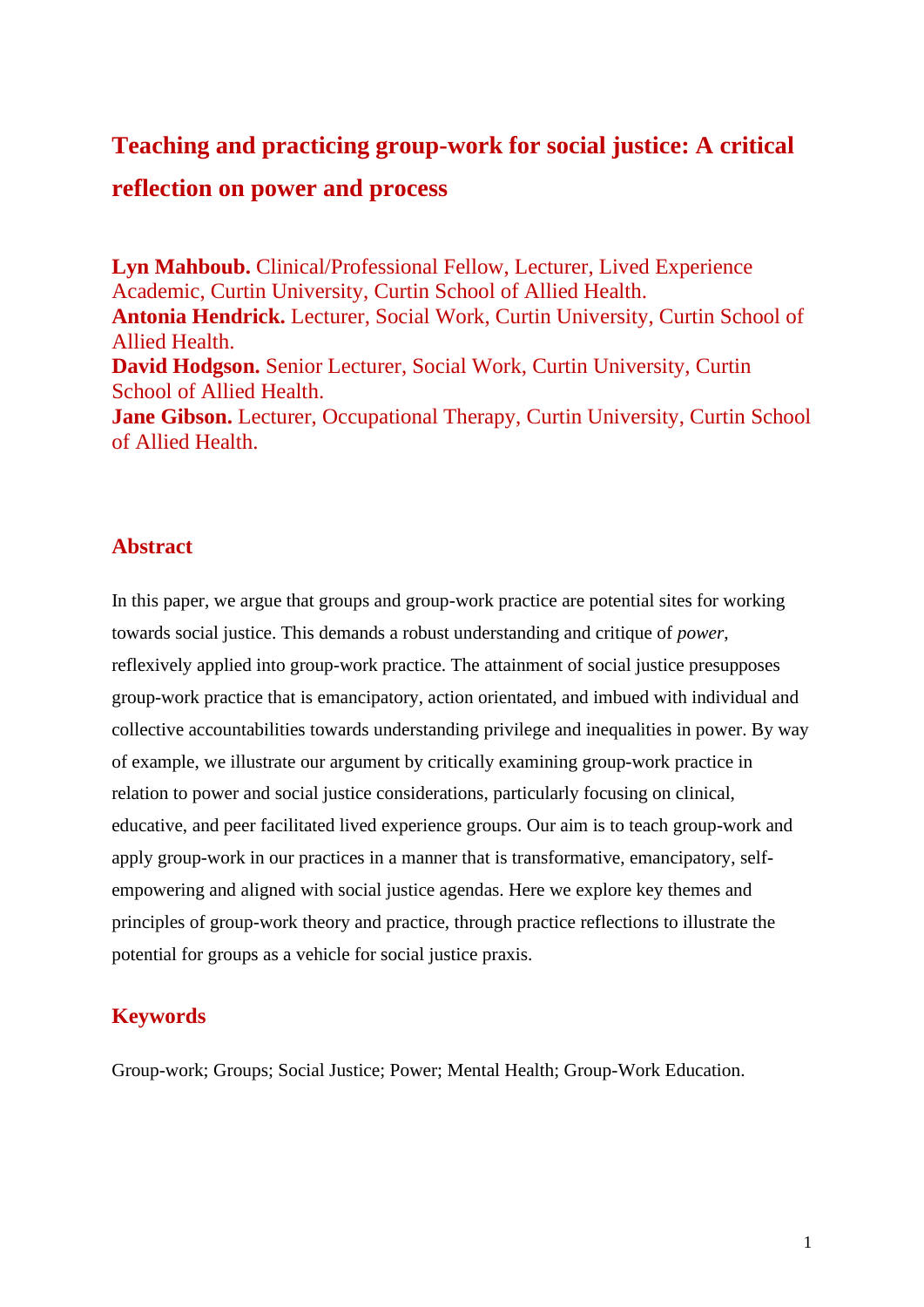# **Teaching and practicing group-work for social justice: A critical reflection on power and process**

**Lyn Mahboub.** Clinical/Professional Fellow, Lecturer, Lived Experience Academic, Curtin University, Curtin School of Allied Health. **Antonia Hendrick.** Lecturer, Social Work, Curtin University, Curtin School of Allied Health. **David Hodgson.** Senior Lecturer, Social Work, Curtin University, Curtin School of Allied Health. **Jane Gibson.** Lecturer, Occupational Therapy, Curtin University, Curtin School of Allied Health.

## **Abstract**

In this paper, we argue that groups and group-work practice are potential sites for working towards social justice. This demands a robust understanding and critique of *power*, reflexively applied into group-work practice. The attainment of social justice presupposes group-work practice that is emancipatory, action orientated, and imbued with individual and collective accountabilities towards understanding privilege and inequalities in power. By way of example, we illustrate our argument by critically examining group-work practice in relation to power and social justice considerations, particularly focusing on clinical, educative, and peer facilitated lived experience groups. Our aim is to teach group-work and apply group-work in our practices in a manner that is transformative, emancipatory, selfempowering and aligned with social justice agendas. Here we explore key themes and principles of group-work theory and practice, through practice reflections to illustrate the potential for groups as a vehicle for social justice praxis.

# **Keywords**

Group-work; Groups; Social Justice; Power; Mental Health; Group-Work Education.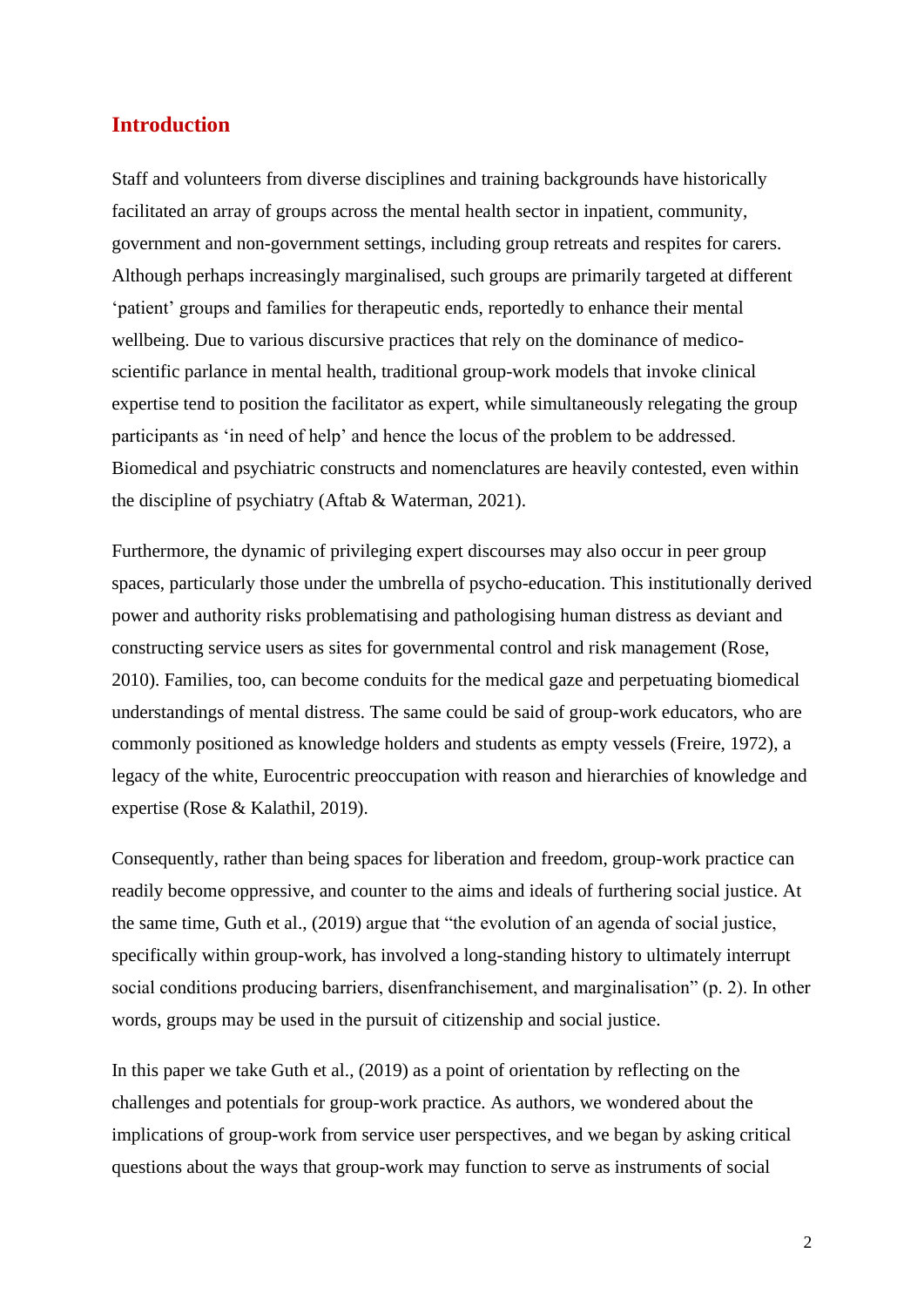## **Introduction**

Staff and volunteers from diverse disciplines and training backgrounds have historically facilitated an array of groups across the mental health sector in inpatient, community, government and non-government settings, including group retreats and respites for carers. Although perhaps increasingly marginalised, such groups are primarily targeted at different 'patient' groups and families for therapeutic ends, reportedly to enhance their mental wellbeing. Due to various discursive practices that rely on the dominance of medicoscientific parlance in mental health, traditional group-work models that invoke clinical expertise tend to position the facilitator as expert, while simultaneously relegating the group participants as 'in need of help' and hence the locus of the problem to be addressed. Biomedical and psychiatric constructs and nomenclatures are heavily contested, even within the discipline of psychiatry (Aftab & Waterman, 2021).

Furthermore, the dynamic of privileging expert discourses may also occur in peer group spaces, particularly those under the umbrella of psycho-education. This institutionally derived power and authority risks problematising and pathologising human distress as deviant and constructing service users as sites for governmental control and risk management (Rose, 2010). Families, too, can become conduits for the medical gaze and perpetuating biomedical understandings of mental distress. The same could be said of group-work educators, who are commonly positioned as knowledge holders and students as empty vessels (Freire, 1972), a legacy of the white, Eurocentric preoccupation with reason and hierarchies of knowledge and expertise (Rose & Kalathil, 2019).

Consequently, rather than being spaces for liberation and freedom, group-work practice can readily become oppressive, and counter to the aims and ideals of furthering social justice. At the same time, Guth et al., (2019) argue that "the evolution of an agenda of social justice, specifically within group-work, has involved a long-standing history to ultimately interrupt social conditions producing barriers, disenfranchisement, and marginalisation" (p. 2). In other words, groups may be used in the pursuit of citizenship and social justice.

In this paper we take Guth et al., (2019) as a point of orientation by reflecting on the challenges and potentials for group-work practice. As authors, we wondered about the implications of group-work from service user perspectives, and we began by asking critical questions about the ways that group-work may function to serve as instruments of social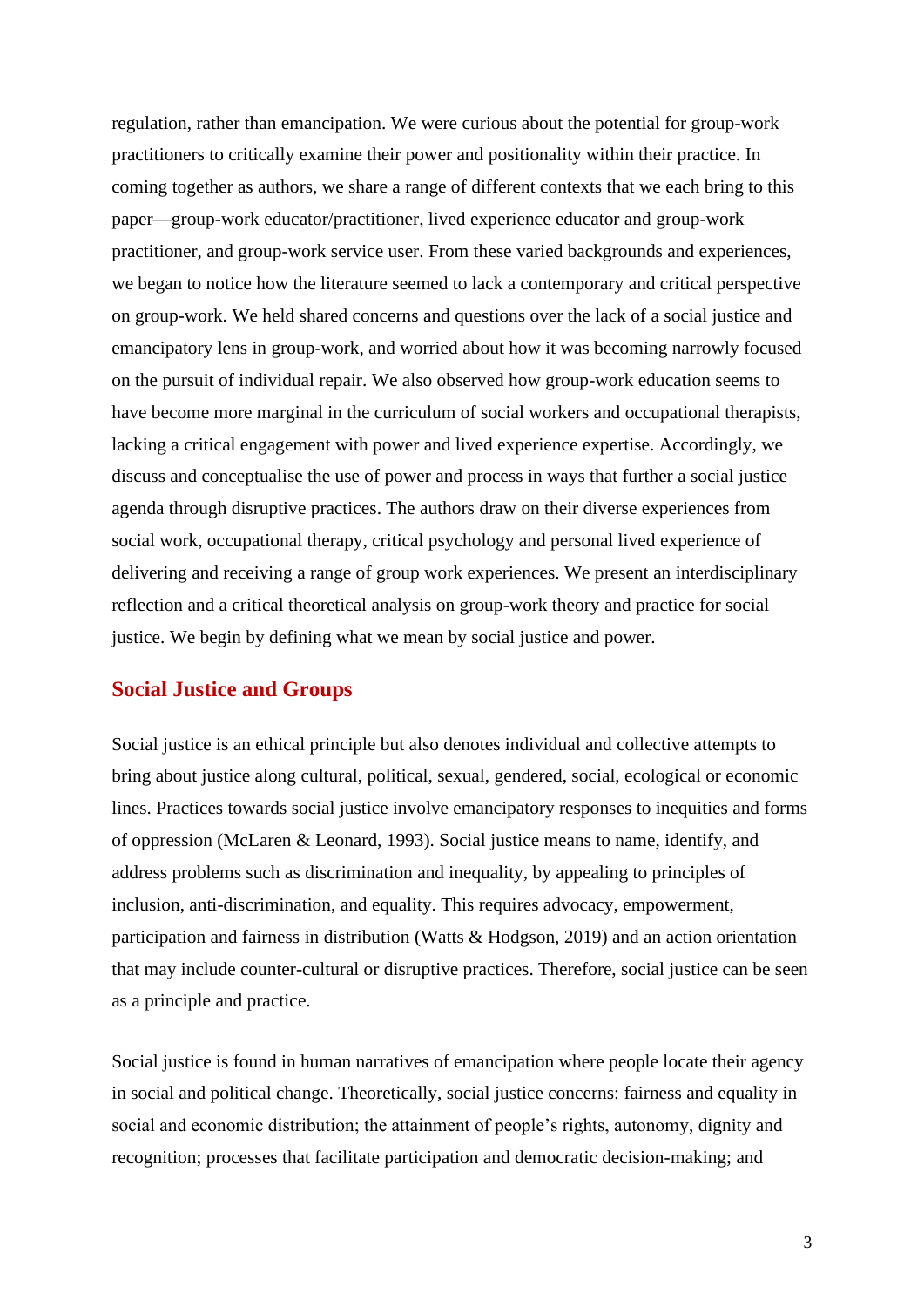regulation, rather than emancipation. We were curious about the potential for group-work practitioners to critically examine their power and positionality within their practice. In coming together as authors, we share a range of different contexts that we each bring to this paper—group-work educator/practitioner, lived experience educator and group-work practitioner, and group-work service user. From these varied backgrounds and experiences, we began to notice how the literature seemed to lack a contemporary and critical perspective on group-work. We held shared concerns and questions over the lack of a social justice and emancipatory lens in group-work, and worried about how it was becoming narrowly focused on the pursuit of individual repair. We also observed how group-work education seems to have become more marginal in the curriculum of social workers and occupational therapists, lacking a critical engagement with power and lived experience expertise. Accordingly, we discuss and conceptualise the use of power and process in ways that further a social justice agenda through disruptive practices. The authors draw on their diverse experiences from social work, occupational therapy, critical psychology and personal lived experience of delivering and receiving a range of group work experiences. We present an interdisciplinary reflection and a critical theoretical analysis on group-work theory and practice for social justice. We begin by defining what we mean by social justice and power.

## **Social Justice and Groups**

Social justice is an ethical principle but also denotes individual and collective attempts to bring about justice along cultural, political, sexual, gendered, social, ecological or economic lines. Practices towards social justice involve emancipatory responses to inequities and forms of oppression (McLaren & Leonard, 1993). Social justice means to name, identify, and address problems such as discrimination and inequality, by appealing to principles of inclusion, anti-discrimination, and equality. This requires advocacy, empowerment, participation and fairness in distribution (Watts & Hodgson, 2019) and an action orientation that may include counter-cultural or disruptive practices. Therefore, social justice can be seen as a principle and practice.

Social justice is found in human narratives of emancipation where people locate their agency in social and political change. Theoretically, social justice concerns: fairness and equality in social and economic distribution; the attainment of people's rights, autonomy, dignity and recognition; processes that facilitate participation and democratic decision-making; and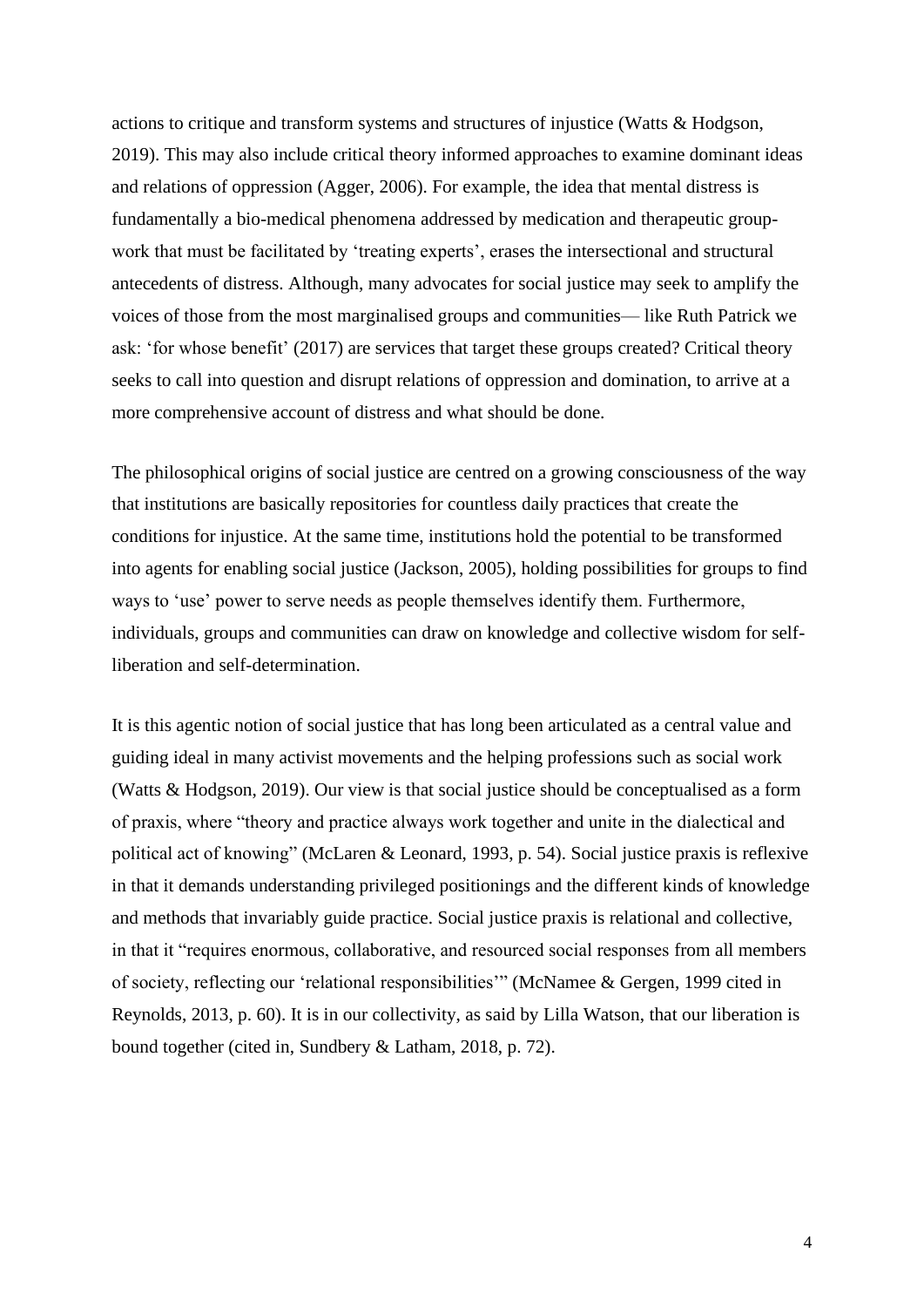actions to critique and transform systems and structures of injustice (Watts & Hodgson, 2019). This may also include critical theory informed approaches to examine dominant ideas and relations of oppression (Agger, 2006). For example, the idea that mental distress is fundamentally a bio-medical phenomena addressed by medication and therapeutic groupwork that must be facilitated by 'treating experts', erases the intersectional and structural antecedents of distress. Although, many advocates for social justice may seek to amplify the voices of those from the most marginalised groups and communities— like Ruth Patrick we ask: 'for whose benefit' (2017) are services that target these groups created? Critical theory seeks to call into question and disrupt relations of oppression and domination, to arrive at a more comprehensive account of distress and what should be done.

The philosophical origins of social justice are centred on a growing consciousness of the way that institutions are basically repositories for countless daily practices that create the conditions for injustice. At the same time, institutions hold the potential to be transformed into agents for enabling social justice (Jackson, 2005), holding possibilities for groups to find ways to 'use' power to serve needs as people themselves identify them. Furthermore, individuals, groups and communities can draw on knowledge and collective wisdom for selfliberation and self-determination.

It is this agentic notion of social justice that has long been articulated as a central value and guiding ideal in many activist movements and the helping professions such as social work (Watts & Hodgson, 2019). Our view is that social justice should be conceptualised as a form of praxis, where "theory and practice always work together and unite in the dialectical and political act of knowing" (McLaren & Leonard, 1993, p. 54). Social justice praxis is reflexive in that it demands understanding privileged positionings and the different kinds of knowledge and methods that invariably guide practice. Social justice praxis is relational and collective, in that it "requires enormous, collaborative, and resourced social responses from all members of society, reflecting our 'relational responsibilities'" (McNamee & Gergen, 1999 cited in Reynolds, 2013, p. 60). It is in our collectivity, as said by Lilla Watson, that our liberation is bound together (cited in, Sundbery & Latham, 2018, p. 72).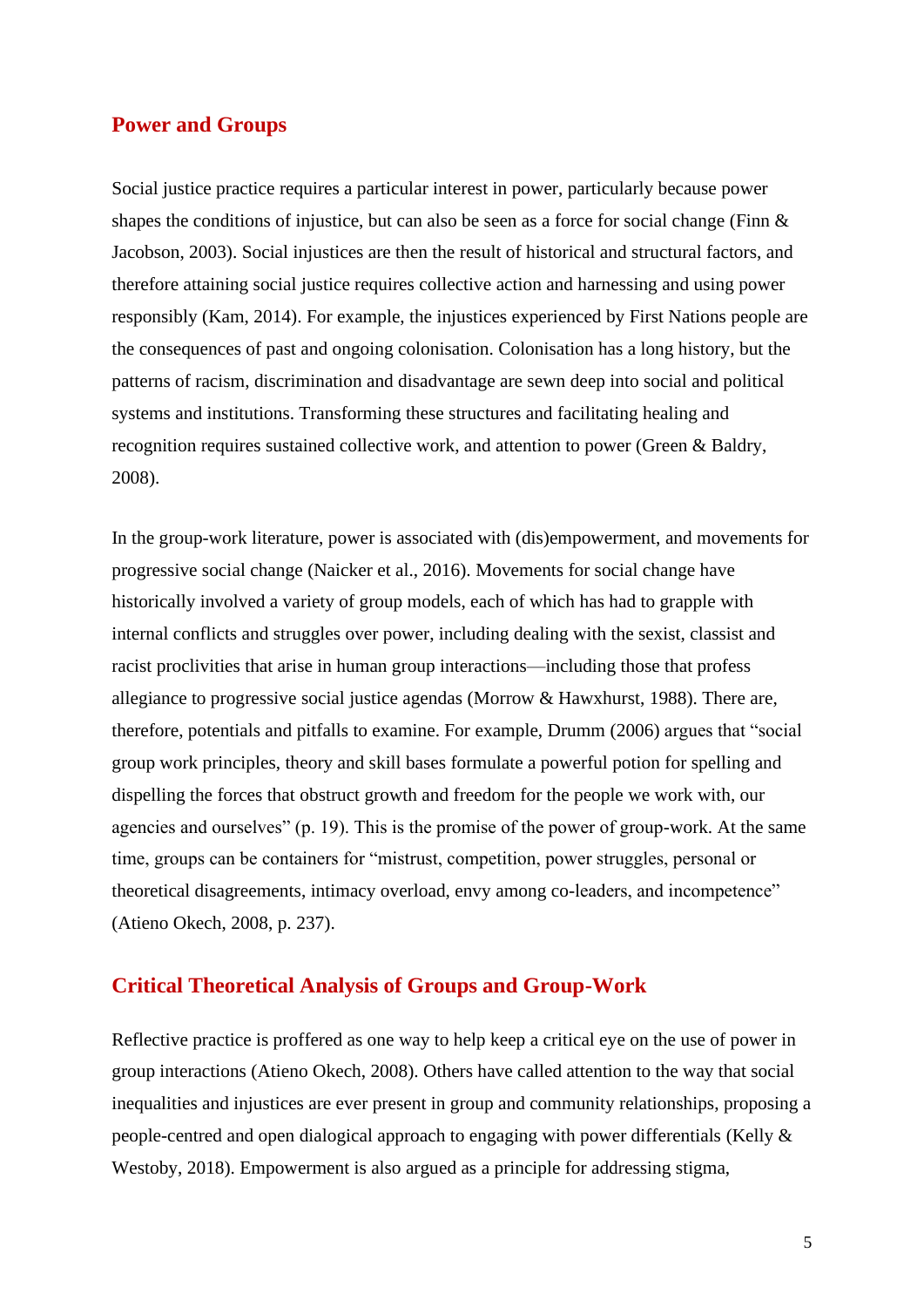## **Power and Groups**

Social justice practice requires a particular interest in power, particularly because power shapes the conditions of injustice, but can also be seen as a force for social change (Finn  $\&$ Jacobson, 2003). Social injustices are then the result of historical and structural factors, and therefore attaining social justice requires collective action and harnessing and using power responsibly (Kam, 2014). For example, the injustices experienced by First Nations people are the consequences of past and ongoing colonisation. Colonisation has a long history, but the patterns of racism, discrimination and disadvantage are sewn deep into social and political systems and institutions. Transforming these structures and facilitating healing and recognition requires sustained collective work, and attention to power (Green & Baldry, 2008).

In the group-work literature, power is associated with (dis)empowerment, and movements for progressive social change (Naicker et al., 2016). Movements for social change have historically involved a variety of group models, each of which has had to grapple with internal conflicts and struggles over power, including dealing with the sexist, classist and racist proclivities that arise in human group interactions—including those that profess allegiance to progressive social justice agendas (Morrow & Hawxhurst, 1988). There are, therefore, potentials and pitfalls to examine. For example, Drumm (2006) argues that "social group work principles, theory and skill bases formulate a powerful potion for spelling and dispelling the forces that obstruct growth and freedom for the people we work with, our agencies and ourselves" (p. 19). This is the promise of the power of group-work. At the same time, groups can be containers for "mistrust, competition, power struggles, personal or theoretical disagreements, intimacy overload, envy among co-leaders, and incompetence" (Atieno Okech, 2008, p. 237).

## **Critical Theoretical Analysis of Groups and Group-Work**

Reflective practice is proffered as one way to help keep a critical eye on the use of power in group interactions (Atieno Okech, 2008). Others have called attention to the way that social inequalities and injustices are ever present in group and community relationships, proposing a people-centred and open dialogical approach to engaging with power differentials (Kelly & Westoby, 2018). Empowerment is also argued as a principle for addressing stigma,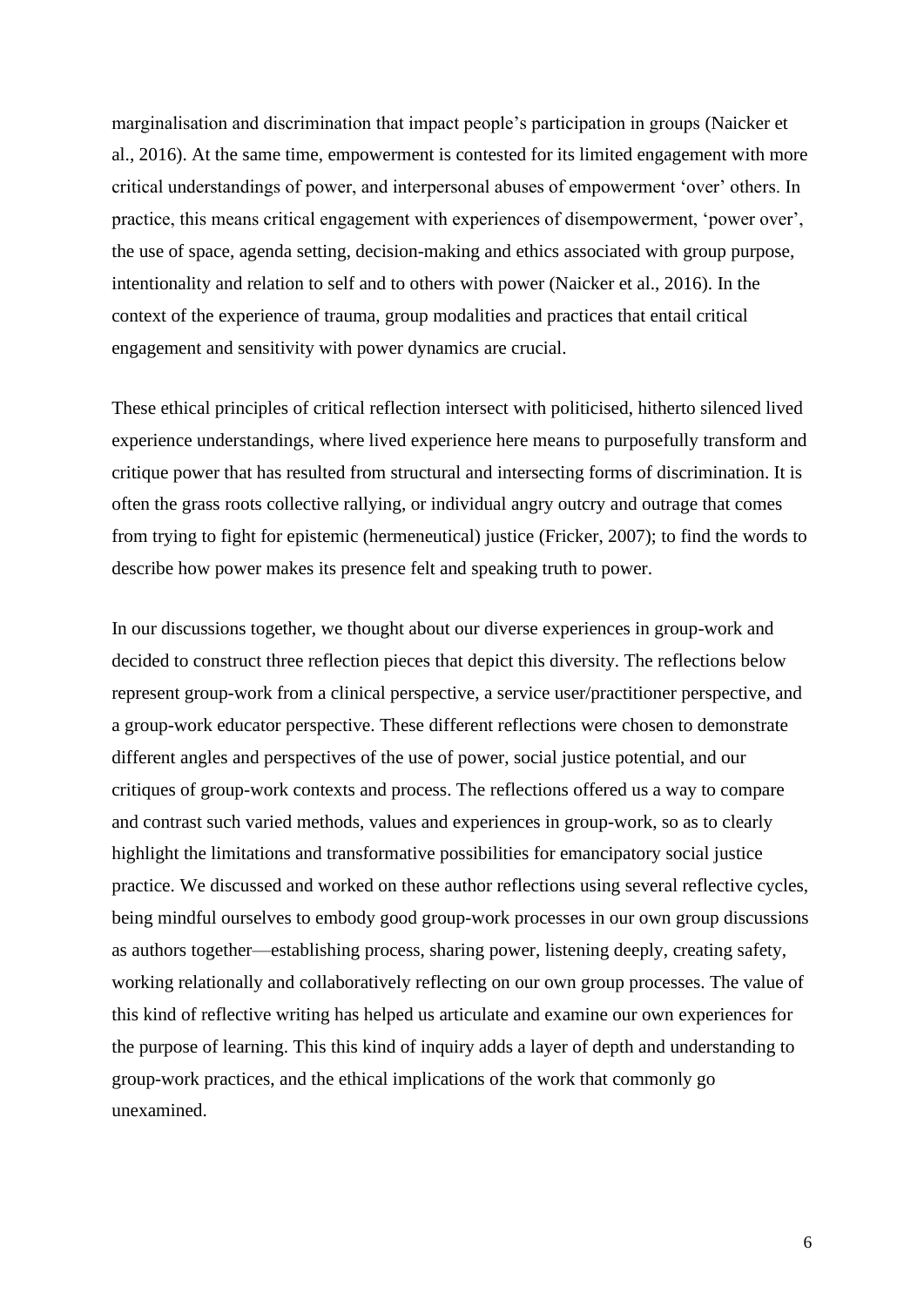marginalisation and discrimination that impact people's participation in groups (Naicker et al., 2016). At the same time, empowerment is contested for its limited engagement with more critical understandings of power, and interpersonal abuses of empowerment 'over' others. In practice, this means critical engagement with experiences of disempowerment, 'power over', the use of space, agenda setting, decision-making and ethics associated with group purpose, intentionality and relation to self and to others with power (Naicker et al., 2016). In the context of the experience of trauma, group modalities and practices that entail critical engagement and sensitivity with power dynamics are crucial.

These ethical principles of critical reflection intersect with politicised, hitherto silenced lived experience understandings, where lived experience here means to purposefully transform and critique power that has resulted from structural and intersecting forms of discrimination. It is often the grass roots collective rallying, or individual angry outcry and outrage that comes from trying to fight for epistemic (hermeneutical) justice (Fricker, 2007); to find the words to describe how power makes its presence felt and speaking truth to power.

In our discussions together, we thought about our diverse experiences in group-work and decided to construct three reflection pieces that depict this diversity. The reflections below represent group-work from a clinical perspective, a service user/practitioner perspective, and a group-work educator perspective. These different reflections were chosen to demonstrate different angles and perspectives of the use of power, social justice potential, and our critiques of group-work contexts and process. The reflections offered us a way to compare and contrast such varied methods, values and experiences in group-work, so as to clearly highlight the limitations and transformative possibilities for emancipatory social justice practice. We discussed and worked on these author reflections using several reflective cycles, being mindful ourselves to embody good group-work processes in our own group discussions as authors together—establishing process, sharing power, listening deeply, creating safety, working relationally and collaboratively reflecting on our own group processes. The value of this kind of reflective writing has helped us articulate and examine our own experiences for the purpose of learning. This this kind of inquiry adds a layer of depth and understanding to group-work practices, and the ethical implications of the work that commonly go unexamined.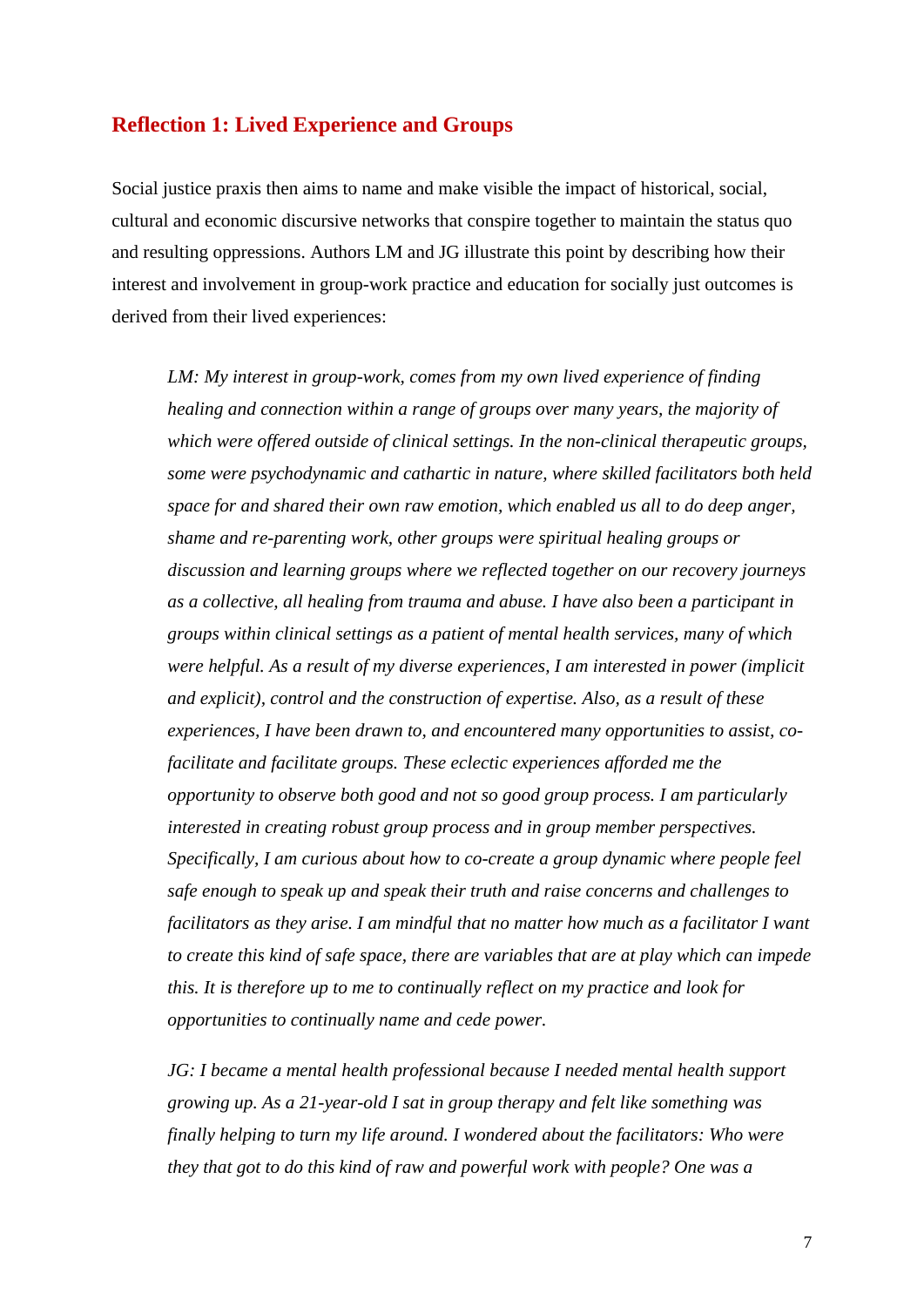## **Reflection 1: Lived Experience and Groups**

Social justice praxis then aims to name and make visible the impact of historical, social, cultural and economic discursive networks that conspire together to maintain the status quo and resulting oppressions. Authors LM and JG illustrate this point by describing how their interest and involvement in group-work practice and education for socially just outcomes is derived from their lived experiences:

*LM: My interest in group-work, comes from my own lived experience of finding healing and connection within a range of groups over many years, the majority of which were offered outside of clinical settings. In the non-clinical therapeutic groups, some were psychodynamic and cathartic in nature, where skilled facilitators both held space for and shared their own raw emotion, which enabled us all to do deep anger, shame and re-parenting work, other groups were spiritual healing groups or discussion and learning groups where we reflected together on our recovery journeys as a collective, all healing from trauma and abuse. I have also been a participant in groups within clinical settings as a patient of mental health services, many of which were helpful. As a result of my diverse experiences, I am interested in power (implicit and explicit), control and the construction of expertise. Also, as a result of these experiences, I have been drawn to, and encountered many opportunities to assist, cofacilitate and facilitate groups. These eclectic experiences afforded me the opportunity to observe both good and not so good group process. I am particularly interested in creating robust group process and in group member perspectives. Specifically, I am curious about how to co-create a group dynamic where people feel safe enough to speak up and speak their truth and raise concerns and challenges to facilitators as they arise. I am mindful that no matter how much as a facilitator I want to create this kind of safe space, there are variables that are at play which can impede this. It is therefore up to me to continually reflect on my practice and look for opportunities to continually name and cede power.*

*JG: I became a mental health professional because I needed mental health support growing up. As a 21-year-old I sat in group therapy and felt like something was finally helping to turn my life around. I wondered about the facilitators: Who were they that got to do this kind of raw and powerful work with people? One was a*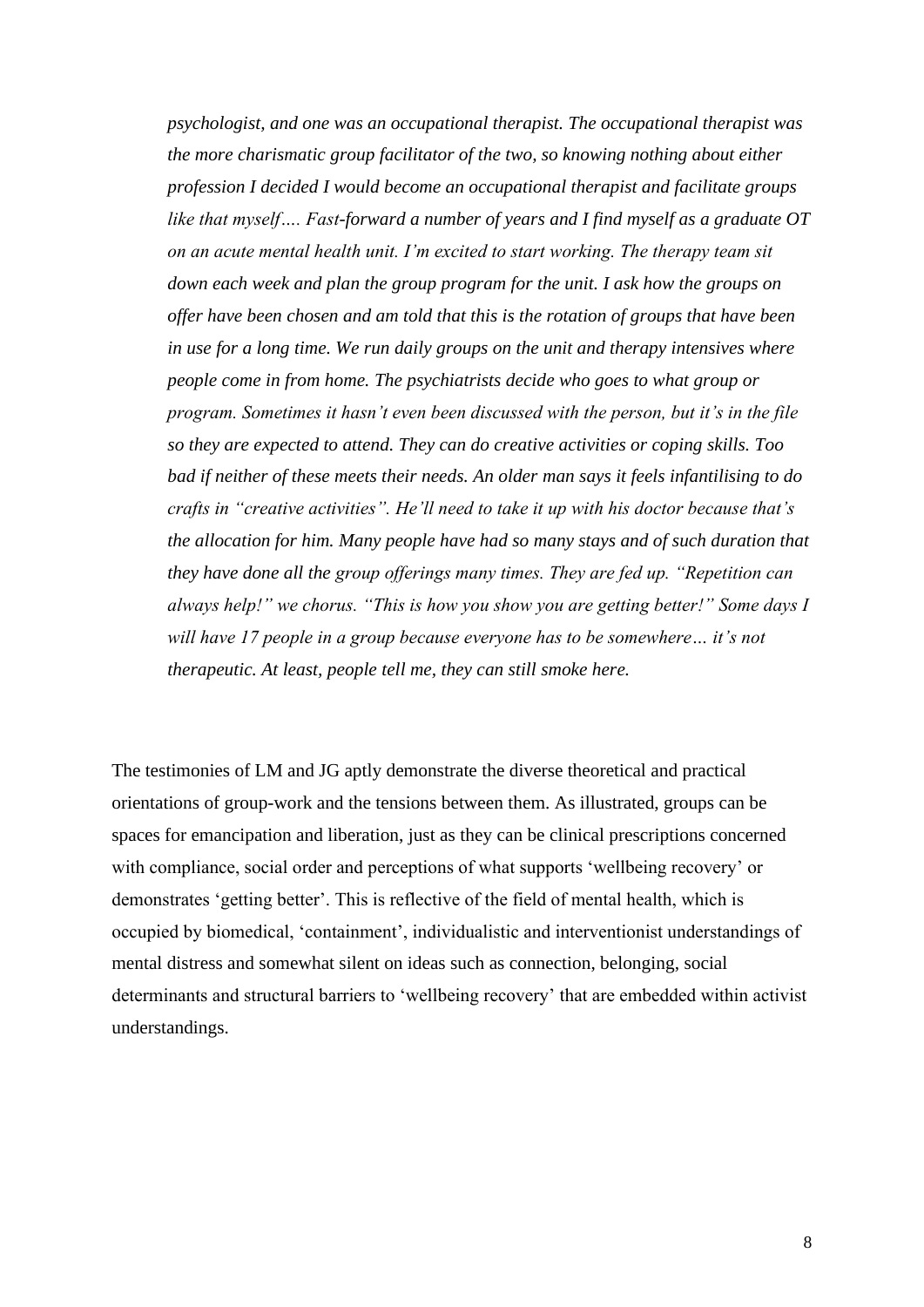*psychologist, and one was an occupational therapist. The occupational therapist was the more charismatic group facilitator of the two, so knowing nothing about either profession I decided I would become an occupational therapist and facilitate groups like that myself…. Fast-forward a number of years and I find myself as a graduate OT on an acute mental health unit. I'm excited to start working. The therapy team sit down each week and plan the group program for the unit. I ask how the groups on offer have been chosen and am told that this is the rotation of groups that have been in use for a long time. We run daily groups on the unit and therapy intensives where people come in from home. The psychiatrists decide who goes to what group or program. Sometimes it hasn't even been discussed with the person, but it's in the file so they are expected to attend. They can do creative activities or coping skills. Too bad if neither of these meets their needs. An older man says it feels infantilising to do crafts in "creative activities". He'll need to take it up with his doctor because that's the allocation for him. Many people have had so many stays and of such duration that they have done all the group offerings many times. They are fed up. "Repetition can always help!" we chorus. "This is how you show you are getting better!" Some days I will have 17 people in a group because everyone has to be somewhere… it's not therapeutic. At least, people tell me, they can still smoke here.*

The testimonies of LM and JG aptly demonstrate the diverse theoretical and practical orientations of group-work and the tensions between them. As illustrated, groups can be spaces for emancipation and liberation, just as they can be clinical prescriptions concerned with compliance, social order and perceptions of what supports 'wellbeing recovery' or demonstrates 'getting better'. This is reflective of the field of mental health, which is occupied by biomedical, 'containment', individualistic and interventionist understandings of mental distress and somewhat silent on ideas such as connection, belonging, social determinants and structural barriers to 'wellbeing recovery' that are embedded within activist understandings.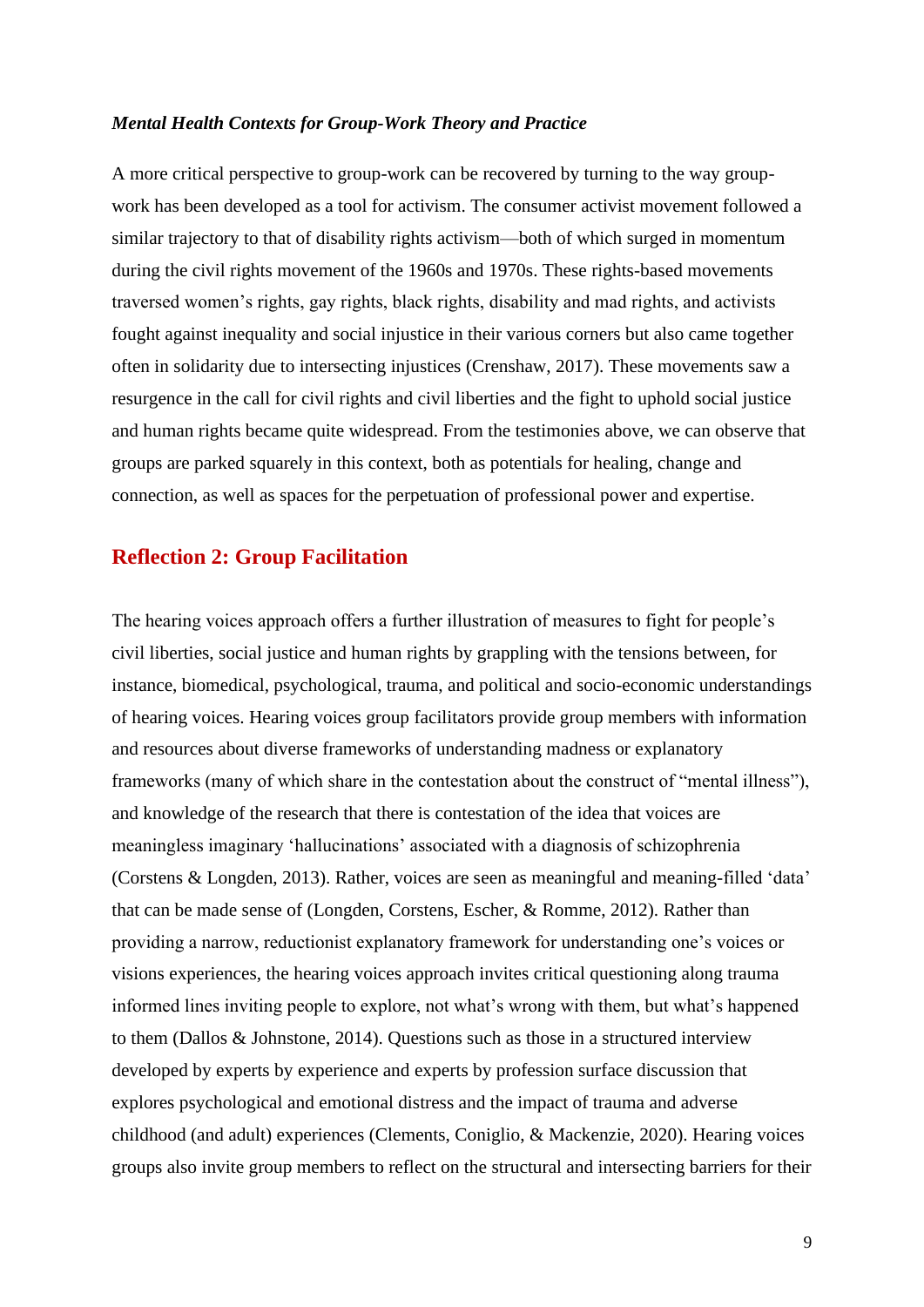#### *Mental Health Contexts for Group-Work Theory and Practice*

A more critical perspective to group-work can be recovered by turning to the way groupwork has been developed as a tool for activism. The consumer activist movement followed a similar trajectory to that of disability rights activism—both of which surged in momentum during the civil rights movement of the 1960s and 1970s. These rights-based movements traversed women's rights, gay rights, black rights, disability and mad rights, and activists fought against inequality and social injustice in their various corners but also came together often in solidarity due to intersecting injustices (Crenshaw, 2017). These movements saw a resurgence in the call for civil rights and civil liberties and the fight to uphold social justice and human rights became quite widespread. From the testimonies above, we can observe that groups are parked squarely in this context, both as potentials for healing, change and connection, as well as spaces for the perpetuation of professional power and expertise.

## **Reflection 2: Group Facilitation**

The hearing voices approach offers a further illustration of measures to fight for people's civil liberties, social justice and human rights by grappling with the tensions between, for instance, biomedical, psychological, trauma, and political and socio-economic understandings of hearing voices. Hearing voices group facilitators provide group members with information and resources about diverse frameworks of understanding madness or explanatory frameworks (many of which share in the contestation about the construct of "mental illness"), and knowledge of the research that there is contestation of the idea that voices are meaningless imaginary 'hallucinations' associated with a diagnosis of schizophrenia (Corstens & Longden, 2013). Rather, voices are seen as meaningful and meaning-filled 'data' that can be made sense of (Longden, Corstens, Escher, & Romme, 2012). Rather than providing a narrow, reductionist explanatory framework for understanding one's voices or visions experiences, the hearing voices approach invites critical questioning along trauma informed lines inviting people to explore, not what's wrong with them, but what's happened to them (Dallos & Johnstone, 2014). Questions such as those in a structured interview developed by experts by experience and experts by profession surface discussion that explores psychological and emotional distress and the impact of trauma and adverse childhood (and adult) experiences (Clements, Coniglio, & Mackenzie, 2020). Hearing voices groups also invite group members to reflect on the structural and intersecting barriers for their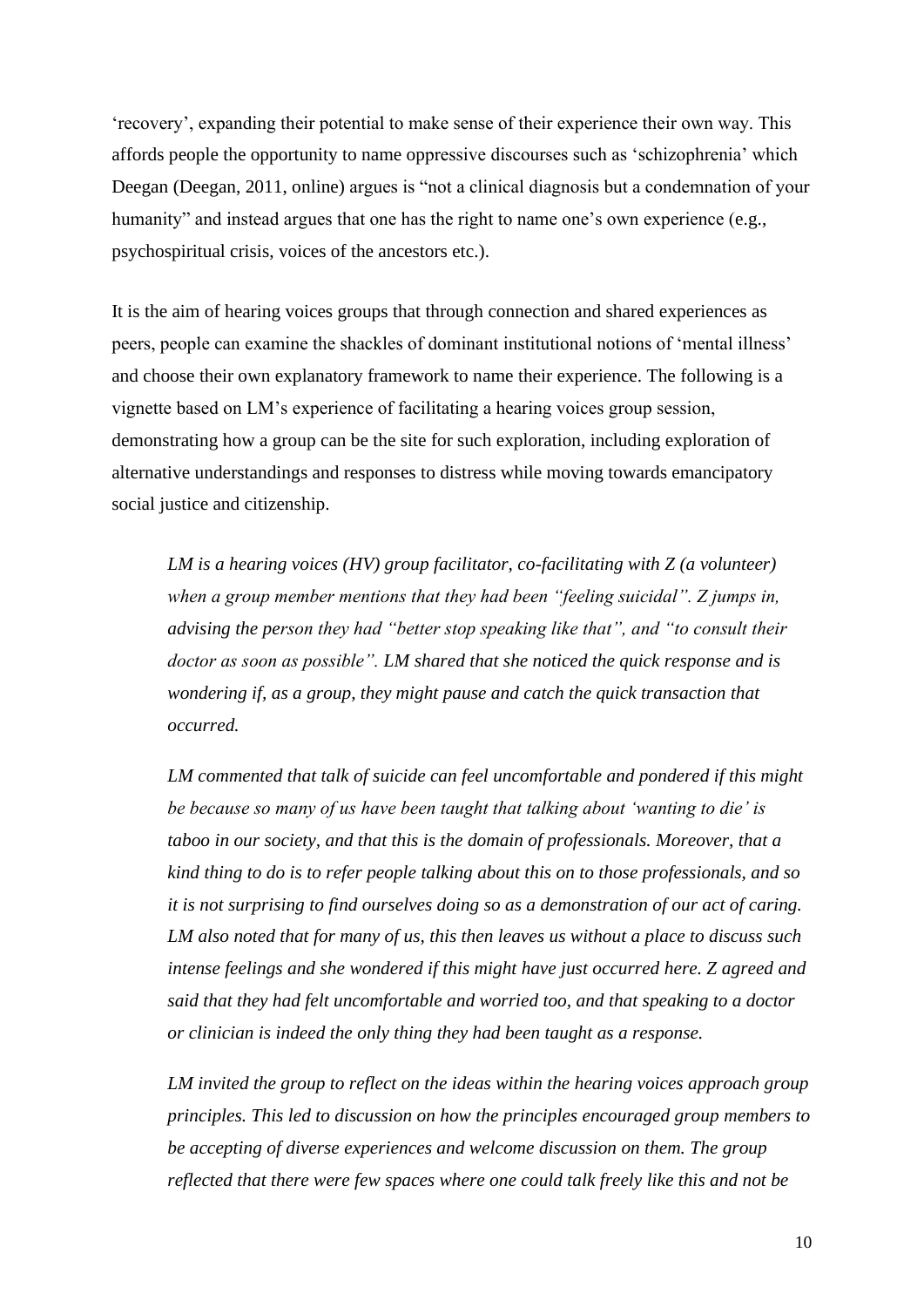'recovery', expanding their potential to make sense of their experience their own way. This affords people the opportunity to name oppressive discourses such as 'schizophrenia' which Deegan (Deegan, 2011, online) argues is "not a clinical diagnosis but a condemnation of your humanity" and instead argues that one has the right to name one's own experience (e.g., psychospiritual crisis, voices of the ancestors etc.).

It is the aim of hearing voices groups that through connection and shared experiences as peers, people can examine the shackles of dominant institutional notions of 'mental illness' and choose their own explanatory framework to name their experience. The following is a vignette based on LM's experience of facilitating a hearing voices group session, demonstrating how a group can be the site for such exploration, including exploration of alternative understandings and responses to distress while moving towards emancipatory social justice and citizenship.

*LM is a hearing voices (HV) group facilitator, co-facilitating with Z (a volunteer) when a group member mentions that they had been "feeling suicidal". Z jumps in, advising the person they had "better stop speaking like that", and "to consult their doctor as soon as possible". LM shared that she noticed the quick response and is wondering if, as a group, they might pause and catch the quick transaction that occurred.*

*LM commented that talk of suicide can feel uncomfortable and pondered if this might be because so many of us have been taught that talking about 'wanting to die' is taboo in our society, and that this is the domain of professionals. Moreover, that a kind thing to do is to refer people talking about this on to those professionals, and so it is not surprising to find ourselves doing so as a demonstration of our act of caring. LM also noted that for many of us, this then leaves us without a place to discuss such intense feelings and she wondered if this might have just occurred here. Z agreed and said that they had felt uncomfortable and worried too, and that speaking to a doctor or clinician is indeed the only thing they had been taught as a response.* 

LM invited the group to reflect on the ideas within the hearing voices approach group *principles. This led to discussion on how the principles encouraged group members to be accepting of diverse experiences and welcome discussion on them. The group reflected that there were few spaces where one could talk freely like this and not be*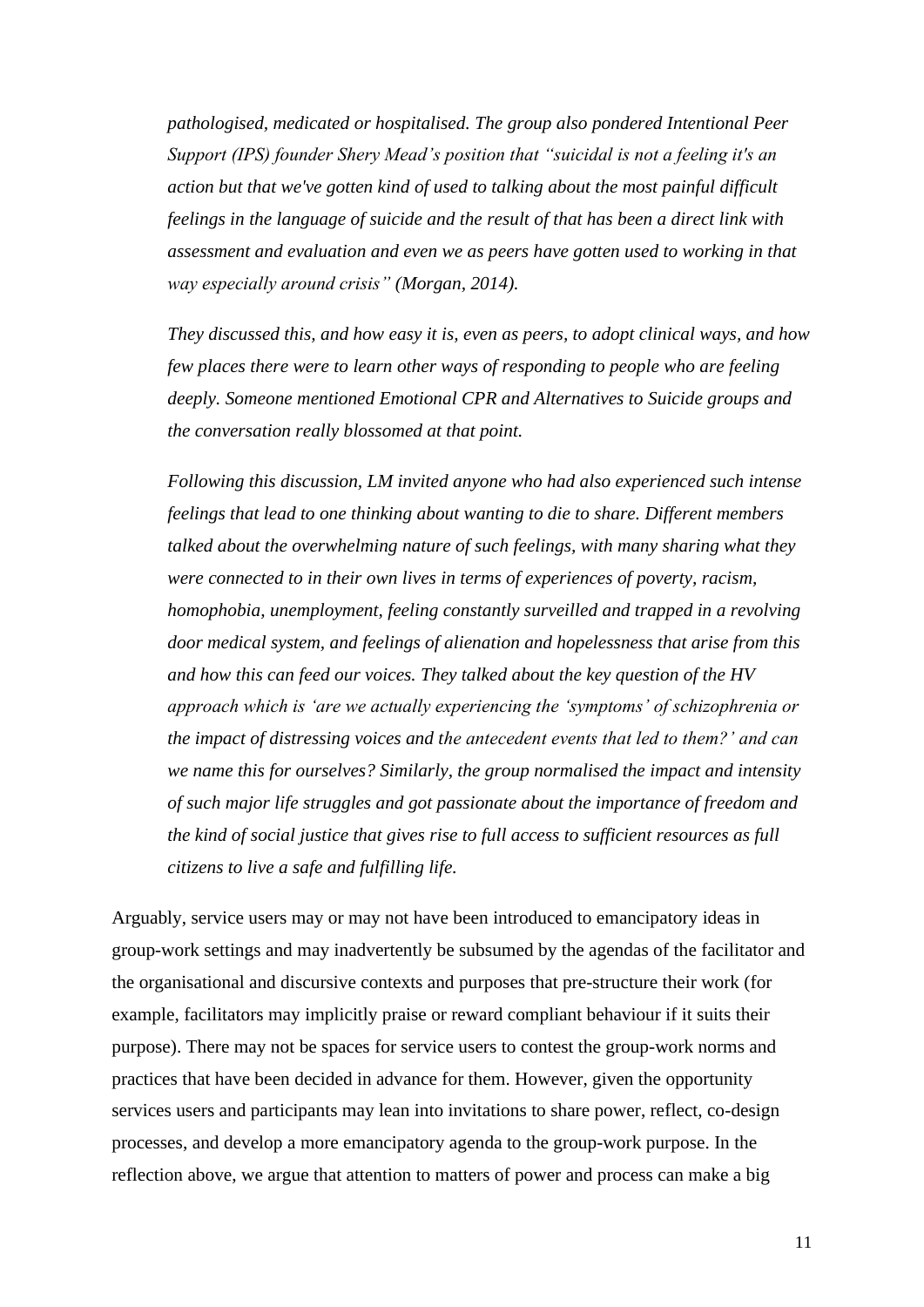*pathologised, medicated or hospitalised. The group also pondered Intentional Peer Support (IPS) founder Shery Mead's position that "suicidal is not a feeling it's an action but that we've gotten kind of used to talking about the most painful difficult feelings in the language of suicide and the result of that has been a direct link with assessment and evaluation and even we as peers have gotten used to working in that way especially around crisis" (Morgan, 2014).*

*They discussed this, and how easy it is, even as peers, to adopt clinical ways, and how few places there were to learn other ways of responding to people who are feeling deeply. Someone mentioned Emotional CPR and Alternatives to Suicide groups and the conversation really blossomed at that point.*

*Following this discussion, LM invited anyone who had also experienced such intense feelings that lead to one thinking about wanting to die to share. Different members talked about the overwhelming nature of such feelings, with many sharing what they were connected to in their own lives in terms of experiences of poverty, racism, homophobia, unemployment, feeling constantly surveilled and trapped in a revolving door medical system, and feelings of alienation and hopelessness that arise from this and how this can feed our voices. They talked about the key question of the HV approach which is 'are we actually experiencing the 'symptoms' of schizophrenia or the impact of distressing voices and the antecedent events that led to them?' and can we name this for ourselves? Similarly, the group normalised the impact and intensity of such major life struggles and got passionate about the importance of freedom and the kind of social justice that gives rise to full access to sufficient resources as full citizens to live a safe and fulfilling life.*

Arguably, service users may or may not have been introduced to emancipatory ideas in group-work settings and may inadvertently be subsumed by the agendas of the facilitator and the organisational and discursive contexts and purposes that pre-structure their work (for example, facilitators may implicitly praise or reward compliant behaviour if it suits their purpose). There may not be spaces for service users to contest the group-work norms and practices that have been decided in advance for them. However, given the opportunity services users and participants may lean into invitations to share power, reflect, co-design processes, and develop a more emancipatory agenda to the group-work purpose. In the reflection above, we argue that attention to matters of power and process can make a big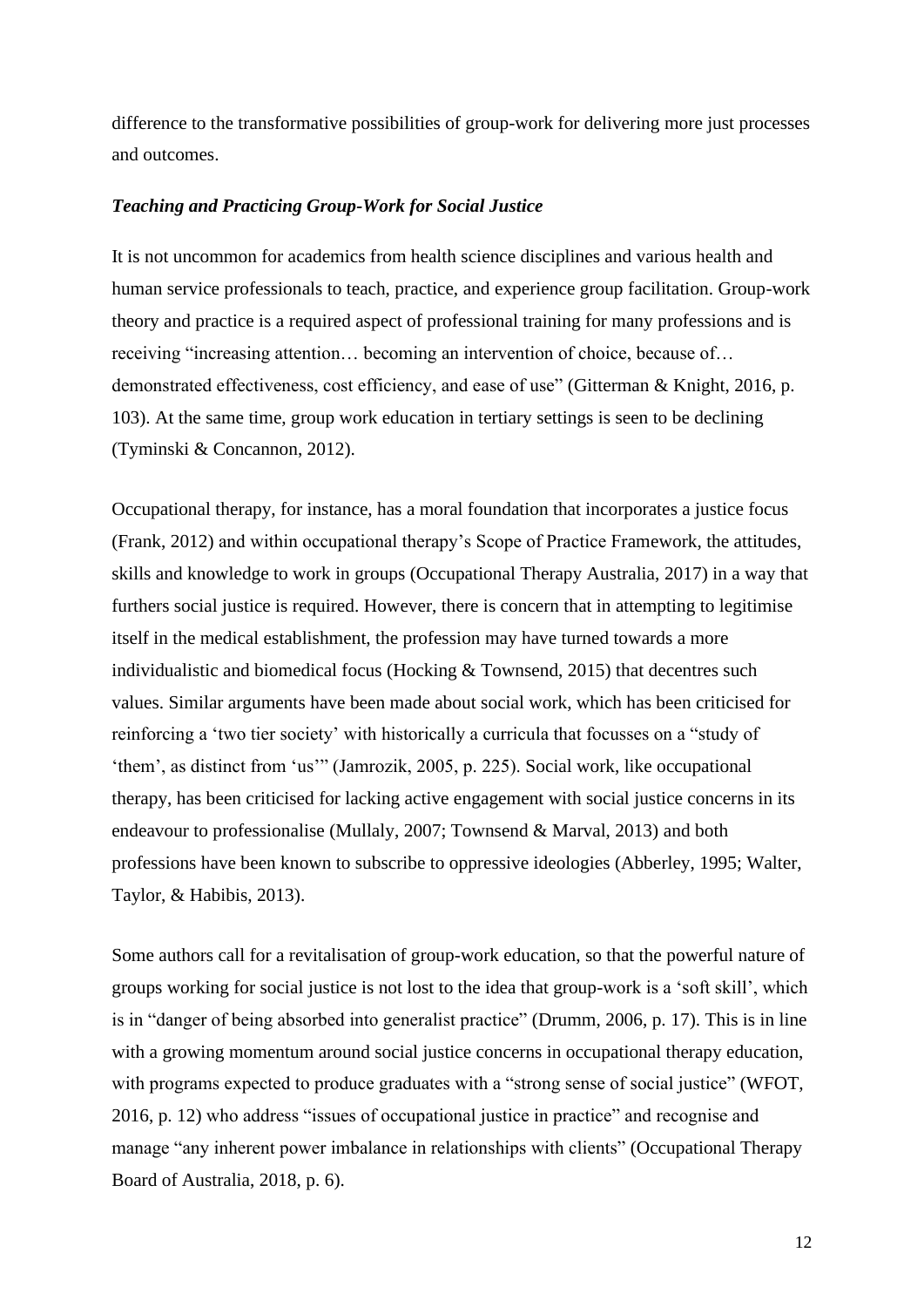difference to the transformative possibilities of group-work for delivering more just processes and outcomes.

#### *Teaching and Practicing Group-Work for Social Justice*

It is not uncommon for academics from health science disciplines and various health and human service professionals to teach, practice, and experience group facilitation. Group-work theory and practice is a required aspect of professional training for many professions and is receiving "increasing attention… becoming an intervention of choice, because of… demonstrated effectiveness, cost efficiency, and ease of use" (Gitterman & Knight, 2016, p. 103). At the same time, group work education in tertiary settings is seen to be declining (Tyminski & Concannon, 2012).

Occupational therapy, for instance, has a moral foundation that incorporates a justice focus (Frank, 2012) and within occupational therapy's Scope of Practice Framework, the attitudes, skills and knowledge to work in groups (Occupational Therapy Australia, 2017) in a way that furthers social justice is required. However, there is concern that in attempting to legitimise itself in the medical establishment, the profession may have turned towards a more individualistic and biomedical focus (Hocking & Townsend, 2015) that decentres such values. Similar arguments have been made about social work, which has been criticised for reinforcing a 'two tier society' with historically a curricula that focusses on a "study of 'them', as distinct from 'us'" (Jamrozik, 2005, p. 225). Social work, like occupational therapy, has been criticised for lacking active engagement with social justice concerns in its endeavour to professionalise (Mullaly, 2007; Townsend & Marval, 2013) and both professions have been known to subscribe to oppressive ideologies (Abberley, 1995; Walter, Taylor, & Habibis, 2013).

Some authors call for a revitalisation of group-work education, so that the powerful nature of groups working for social justice is not lost to the idea that group-work is a 'soft skill', which is in "danger of being absorbed into generalist practice" (Drumm, 2006, p. 17). This is in line with a growing momentum around social justice concerns in occupational therapy education, with programs expected to produce graduates with a "strong sense of social justice" (WFOT, 2016, p. 12) who address "issues of occupational justice in practice" and recognise and manage "any inherent power imbalance in relationships with clients" (Occupational Therapy Board of Australia, 2018, p. 6).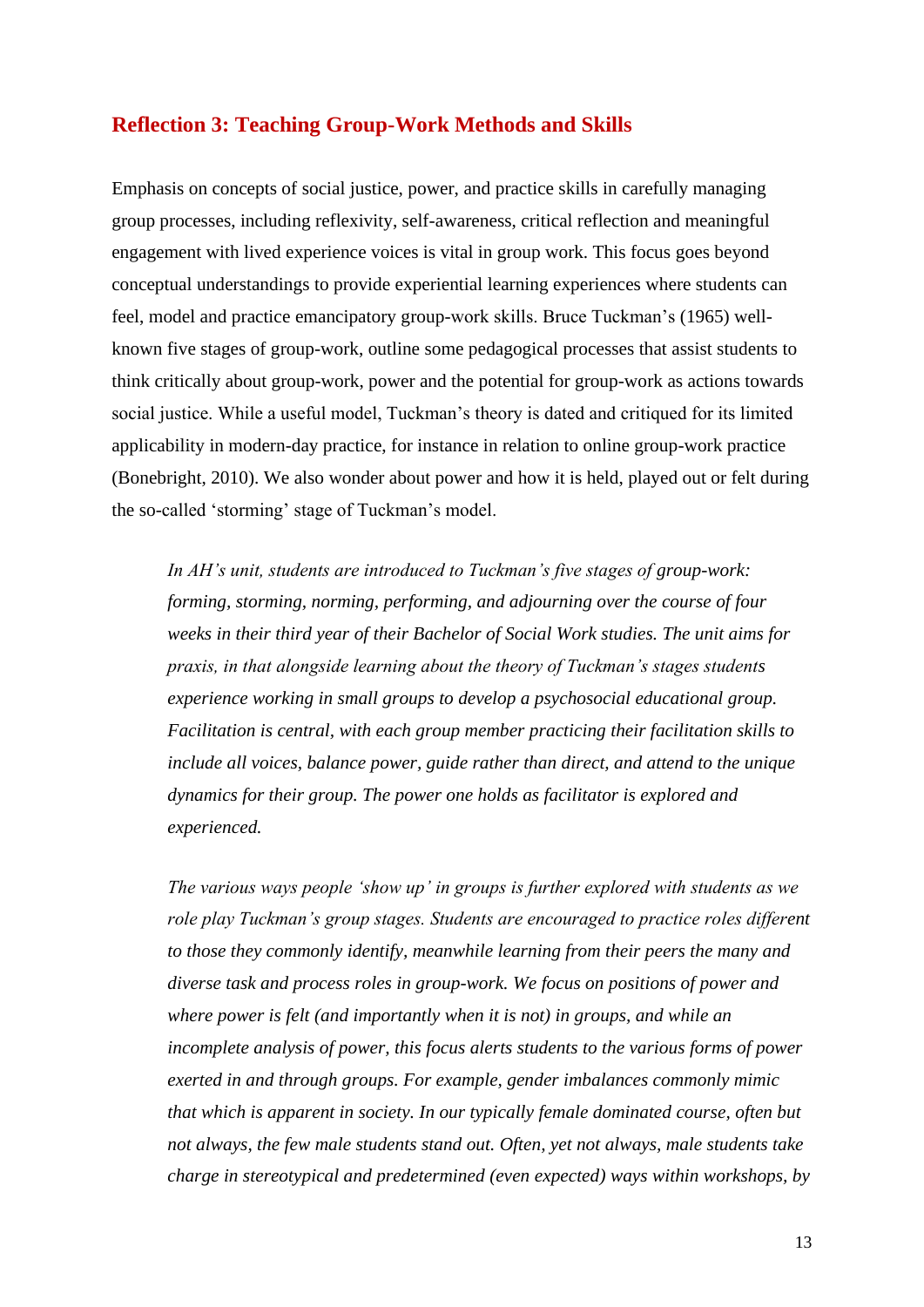## **Reflection 3: Teaching Group-Work Methods and Skills**

Emphasis on concepts of social justice, power, and practice skills in carefully managing group processes, including reflexivity, self-awareness, critical reflection and meaningful engagement with lived experience voices is vital in group work. This focus goes beyond conceptual understandings to provide experiential learning experiences where students can feel, model and practice emancipatory group-work skills. Bruce Tuckman's (1965) wellknown five stages of group-work, outline some pedagogical processes that assist students to think critically about group-work, power and the potential for group-work as actions towards social justice. While a useful model, Tuckman's theory is dated and critiqued for its limited applicability in modern-day practice, for instance in relation to online group-work practice (Bonebright, 2010). We also wonder about power and how it is held, played out or felt during the so-called 'storming' stage of Tuckman's model.

*In AH's unit, students are introduced to Tuckman's five stages of group-work: forming, storming, norming, performing, and adjourning over the course of four weeks in their third year of their Bachelor of Social Work studies. The unit aims for praxis, in that alongside learning about the theory of Tuckman's stages students experience working in small groups to develop a psychosocial educational group. Facilitation is central, with each group member practicing their facilitation skills to include all voices, balance power, guide rather than direct, and attend to the unique dynamics for their group. The power one holds as facilitator is explored and experienced.*

*The various ways people 'show up' in groups is further explored with students as we role play Tuckman's group stages. Students are encouraged to practice roles different to those they commonly identify, meanwhile learning from their peers the many and diverse task and process roles in group-work. We focus on positions of power and where power is felt (and importantly when it is not) in groups, and while an incomplete analysis of power, this focus alerts students to the various forms of power exerted in and through groups. For example, gender imbalances commonly mimic that which is apparent in society. In our typically female dominated course, often but not always, the few male students stand out. Often, yet not always, male students take charge in stereotypical and predetermined (even expected) ways within workshops, by*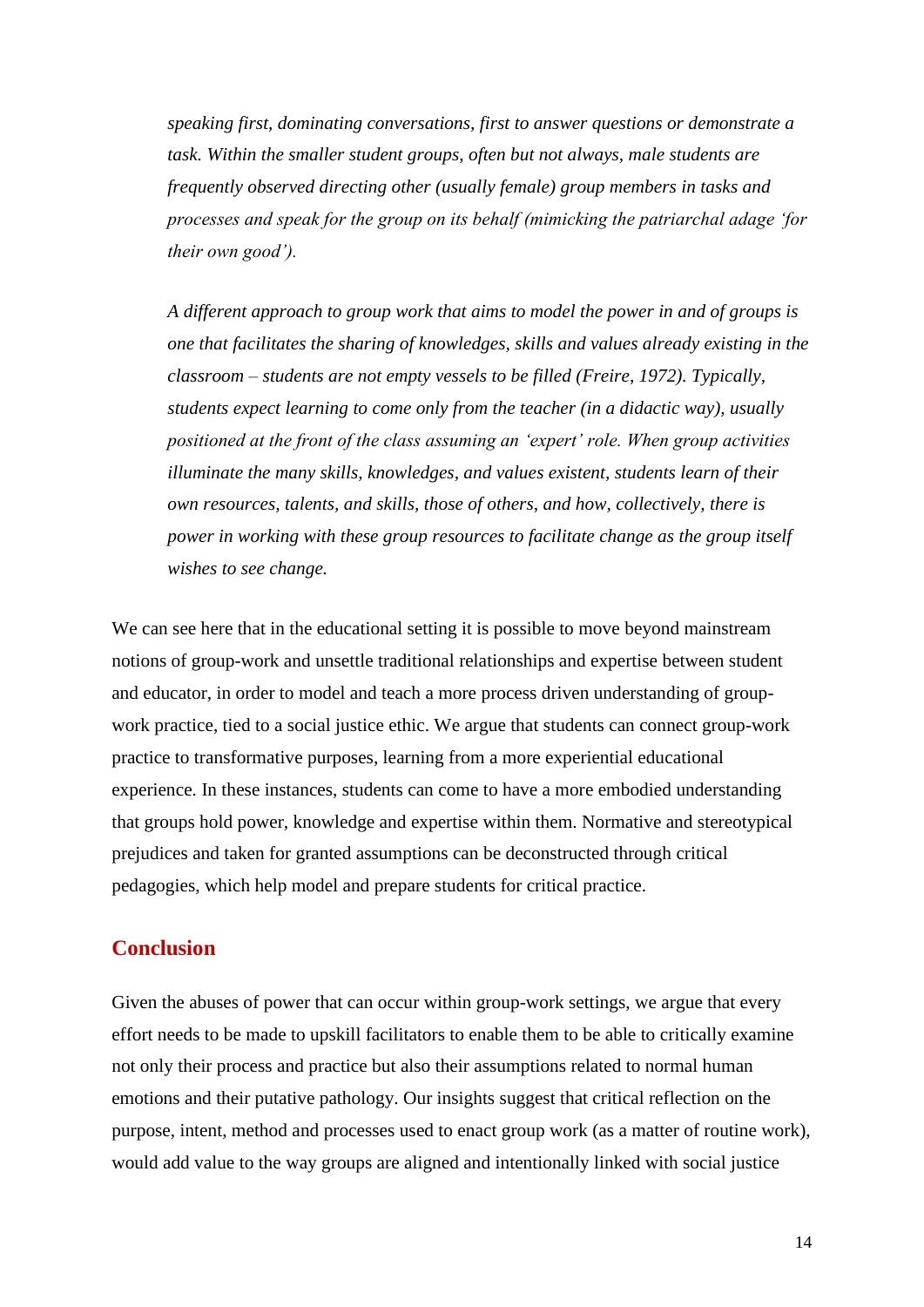*speaking first, dominating conversations, first to answer questions or demonstrate a task. Within the smaller student groups, often but not always, male students are frequently observed directing other (usually female) group members in tasks and processes and speak for the group on its behalf (mimicking the patriarchal adage 'for their own good').*

*A different approach to group work that aims to model the power in and of groups is one that facilitates the sharing of knowledges, skills and values already existing in the classroom – students are not empty vessels to be filled (Freire, 1972). Typically, students expect learning to come only from the teacher (in a didactic way), usually positioned at the front of the class assuming an 'expert' role. When group activities illuminate the many skills, knowledges, and values existent, students learn of their own resources, talents, and skills, those of others, and how, collectively, there is power in working with these group resources to facilitate change as the group itself wishes to see change.* 

We can see here that in the educational setting it is possible to move beyond mainstream notions of group-work and unsettle traditional relationships and expertise between student and educator, in order to model and teach a more process driven understanding of groupwork practice, tied to a social justice ethic. We argue that students can connect group-work practice to transformative purposes, learning from a more experiential educational experience. In these instances, students can come to have a more embodied understanding that groups hold power, knowledge and expertise within them. Normative and stereotypical prejudices and taken for granted assumptions can be deconstructed through critical pedagogies, which help model and prepare students for critical practice.

## **Conclusion**

Given the abuses of power that can occur within group-work settings, we argue that every effort needs to be made to upskill facilitators to enable them to be able to critically examine not only their process and practice but also their assumptions related to normal human emotions and their putative pathology. Our insights suggest that critical reflection on the purpose, intent, method and processes used to enact group work (as a matter of routine work), would add value to the way groups are aligned and intentionally linked with social justice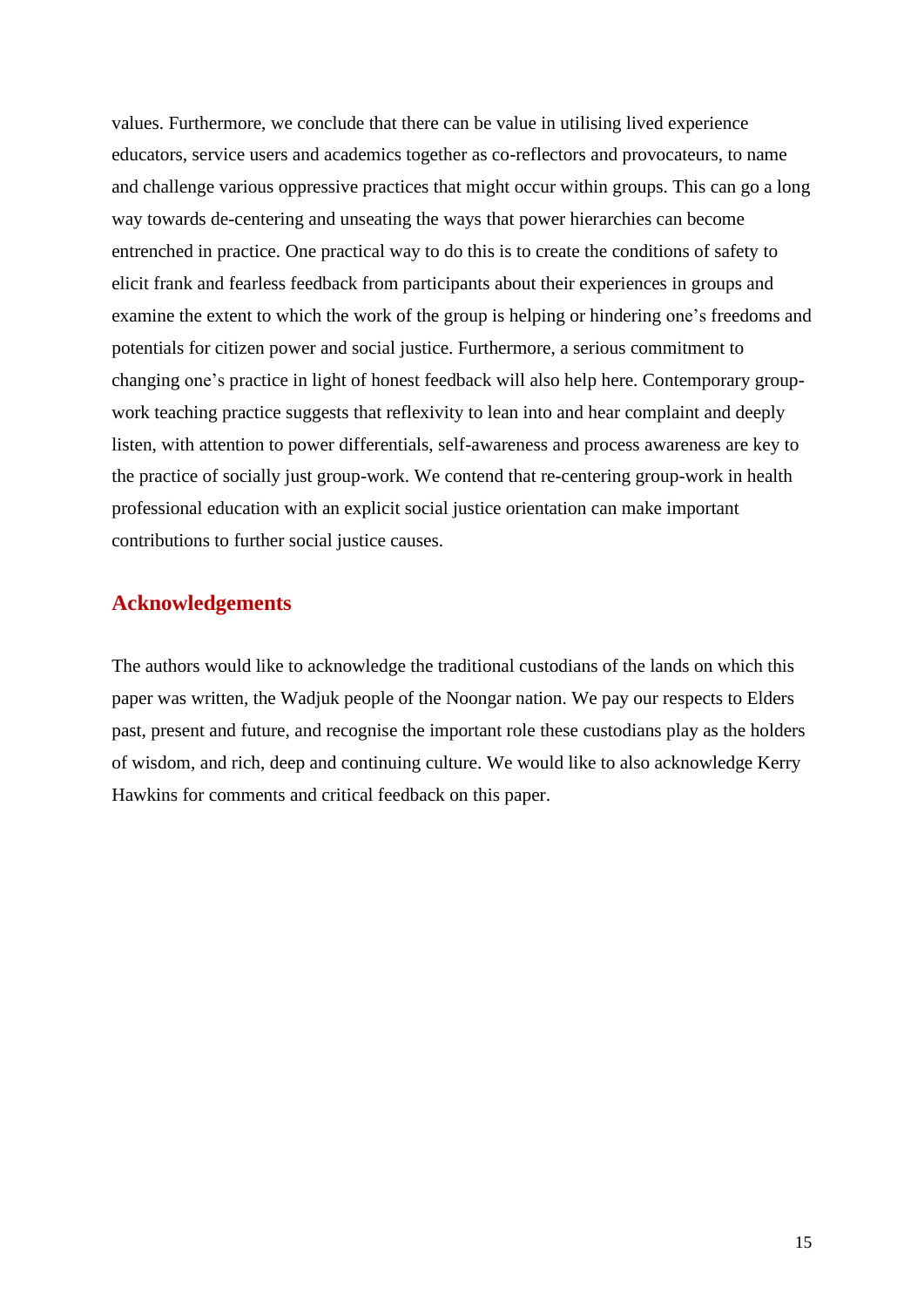values. Furthermore, we conclude that there can be value in utilising lived experience educators, service users and academics together as co-reflectors and provocateurs, to name and challenge various oppressive practices that might occur within groups. This can go a long way towards de-centering and unseating the ways that power hierarchies can become entrenched in practice. One practical way to do this is to create the conditions of safety to elicit frank and fearless feedback from participants about their experiences in groups and examine the extent to which the work of the group is helping or hindering one's freedoms and potentials for citizen power and social justice. Furthermore, a serious commitment to changing one's practice in light of honest feedback will also help here. Contemporary groupwork teaching practice suggests that reflexivity to lean into and hear complaint and deeply listen, with attention to power differentials, self-awareness and process awareness are key to the practice of socially just group-work. We contend that re-centering group-work in health professional education with an explicit social justice orientation can make important contributions to further social justice causes.

## **Acknowledgements**

The authors would like to acknowledge the traditional custodians of the lands on which this paper was written, the Wadjuk people of the Noongar nation. We pay our respects to Elders past, present and future, and recognise the important role these custodians play as the holders of wisdom, and rich, deep and continuing culture. We would like to also acknowledge Kerry Hawkins for comments and critical feedback on this paper.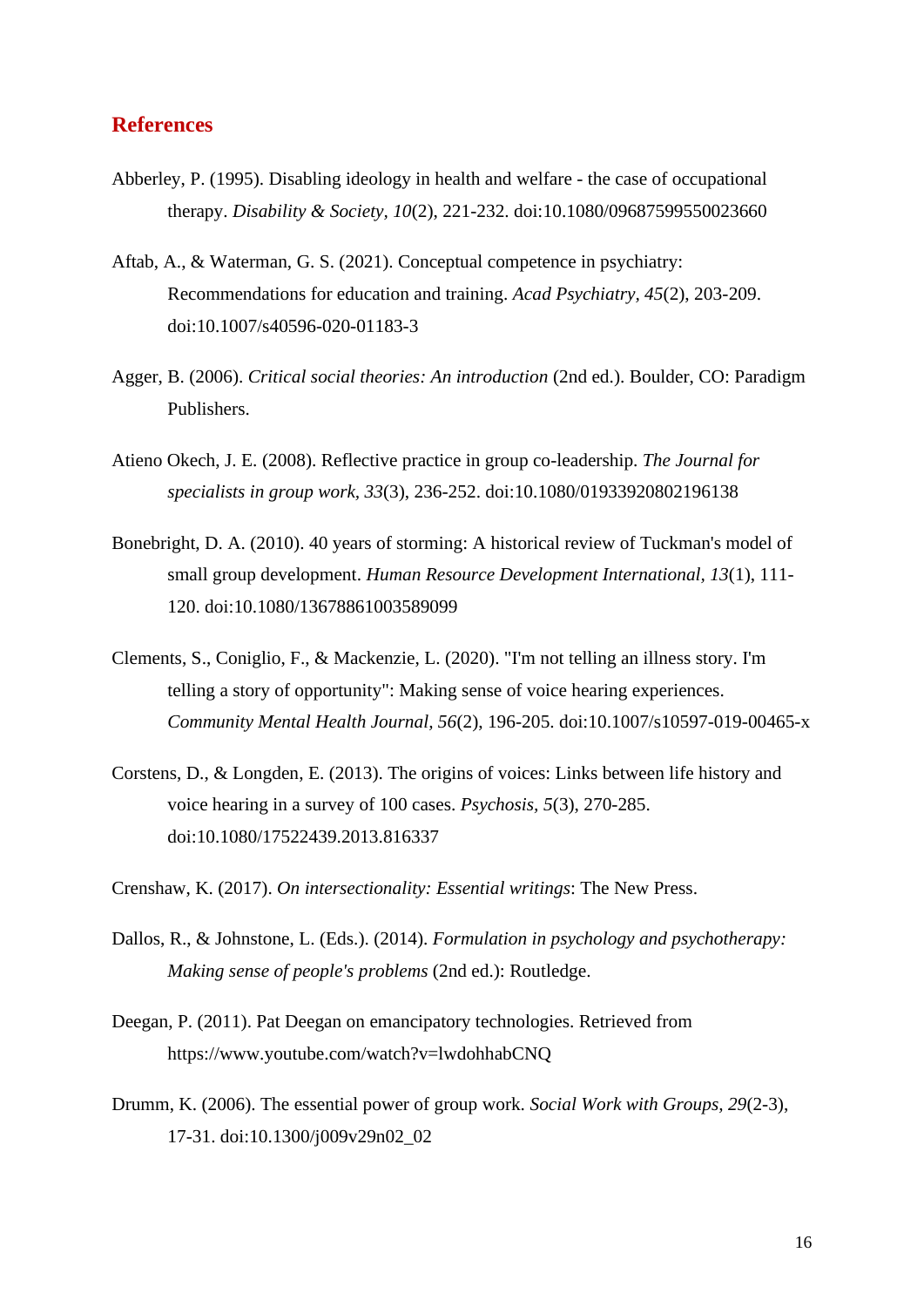## **References**

- Abberley, P. (1995). Disabling ideology in health and welfare the case of occupational therapy. *Disability & Society, 10*(2), 221-232. doi:10.1080/09687599550023660
- Aftab, A., & Waterman, G. S. (2021). Conceptual competence in psychiatry: Recommendations for education and training. *Acad Psychiatry, 45*(2), 203-209. doi:10.1007/s40596-020-01183-3
- Agger, B. (2006). *Critical social theories: An introduction* (2nd ed.). Boulder, CO: Paradigm Publishers.
- Atieno Okech, J. E. (2008). Reflective practice in group co-leadership. *The Journal for specialists in group work, 33*(3), 236-252. doi:10.1080/01933920802196138
- Bonebright, D. A. (2010). 40 years of storming: A historical review of Tuckman's model of small group development. *Human Resource Development International, 13*(1), 111- 120. doi:10.1080/13678861003589099
- Clements, S., Coniglio, F., & Mackenzie, L. (2020). "I'm not telling an illness story. I'm telling a story of opportunity": Making sense of voice hearing experiences. *Community Mental Health Journal, 56*(2), 196-205. doi:10.1007/s10597-019-00465-x
- Corstens, D., & Longden, E. (2013). The origins of voices: Links between life history and voice hearing in a survey of 100 cases. *Psychosis, 5*(3), 270-285. doi:10.1080/17522439.2013.816337
- Crenshaw, K. (2017). *On intersectionality: Essential writings*: The New Press.
- Dallos, R., & Johnstone, L. (Eds.). (2014). *Formulation in psychology and psychotherapy: Making sense of people's problems* (2nd ed.): Routledge.
- Deegan, P. (2011). Pat Deegan on emancipatory technologies. Retrieved from https://www.youtube.com/watch?v=lwdohhabCNQ
- Drumm, K. (2006). The essential power of group work. *Social Work with Groups, 29*(2-3), 17-31. doi:10.1300/j009v29n02\_02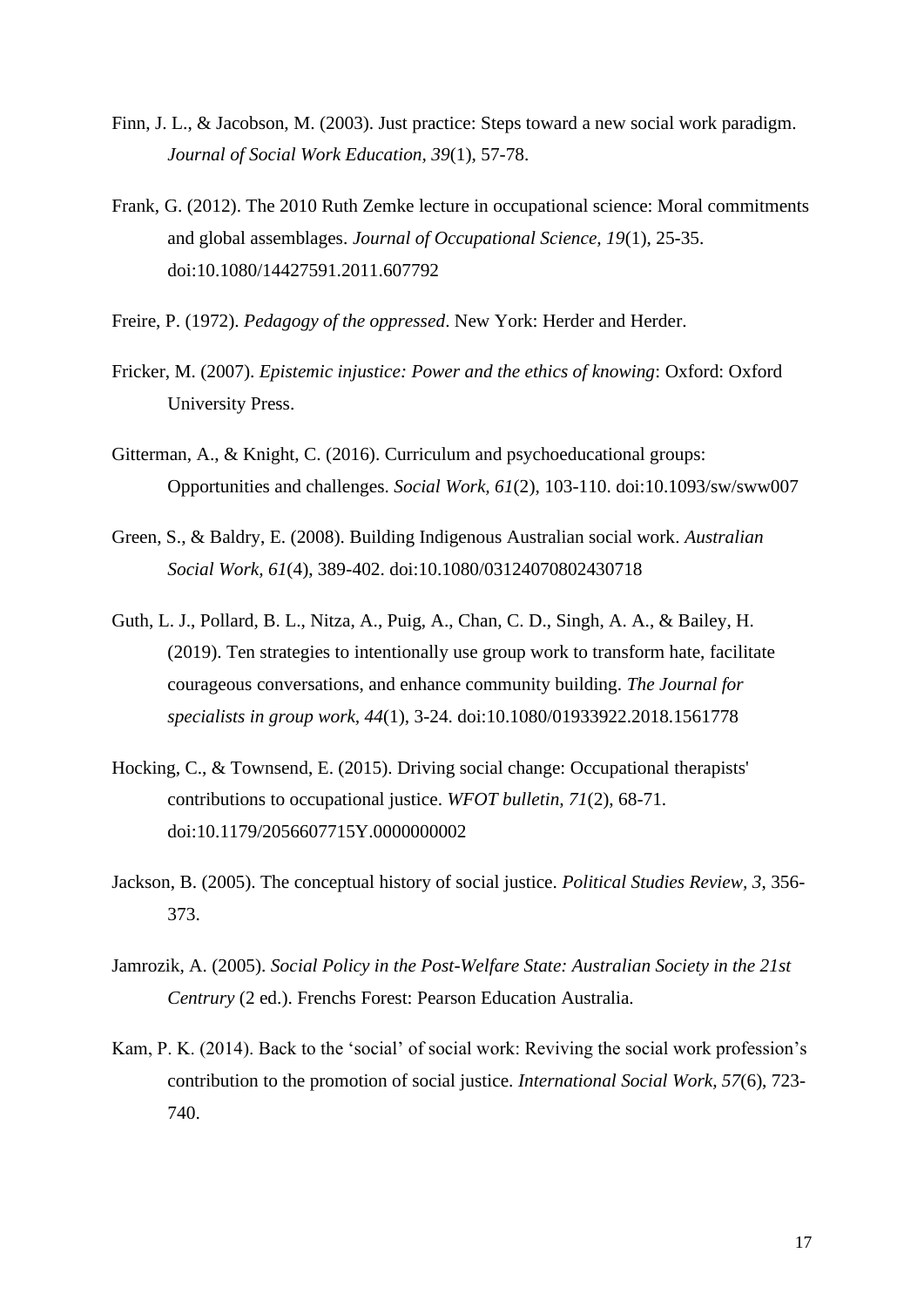- Finn, J. L., & Jacobson, M. (2003). Just practice: Steps toward a new social work paradigm. *Journal of Social Work Education, 39*(1), 57-78.
- Frank, G. (2012). The 2010 Ruth Zemke lecture in occupational science: Moral commitments and global assemblages. *Journal of Occupational Science, 19*(1), 25-35. doi:10.1080/14427591.2011.607792
- Freire, P. (1972). *Pedagogy of the oppressed*. New York: Herder and Herder.
- Fricker, M. (2007). *Epistemic injustice: Power and the ethics of knowing*: Oxford: Oxford University Press.
- Gitterman, A., & Knight, C. (2016). Curriculum and psychoeducational groups: Opportunities and challenges. *Social Work, 61*(2), 103-110. doi:10.1093/sw/sww007
- Green, S., & Baldry, E. (2008). Building Indigenous Australian social work. *Australian Social Work, 61*(4), 389-402. doi:10.1080/03124070802430718
- Guth, L. J., Pollard, B. L., Nitza, A., Puig, A., Chan, C. D., Singh, A. A., & Bailey, H. (2019). Ten strategies to intentionally use group work to transform hate, facilitate courageous conversations, and enhance community building. *The Journal for specialists in group work, 44*(1), 3-24. doi:10.1080/01933922.2018.1561778
- Hocking, C., & Townsend, E. (2015). Driving social change: Occupational therapists' contributions to occupational justice. *WFOT bulletin, 71*(2), 68-71. doi:10.1179/2056607715Y.0000000002
- Jackson, B. (2005). The conceptual history of social justice. *Political Studies Review, 3*, 356- 373.
- Jamrozik, A. (2005). *Social Policy in the Post-Welfare State: Australian Society in the 21st Centrury* (2 ed.). Frenchs Forest: Pearson Education Australia.
- Kam, P. K. (2014). Back to the 'social' of social work: Reviving the social work profession's contribution to the promotion of social justice. *International Social Work, 57*(6), 723- 740.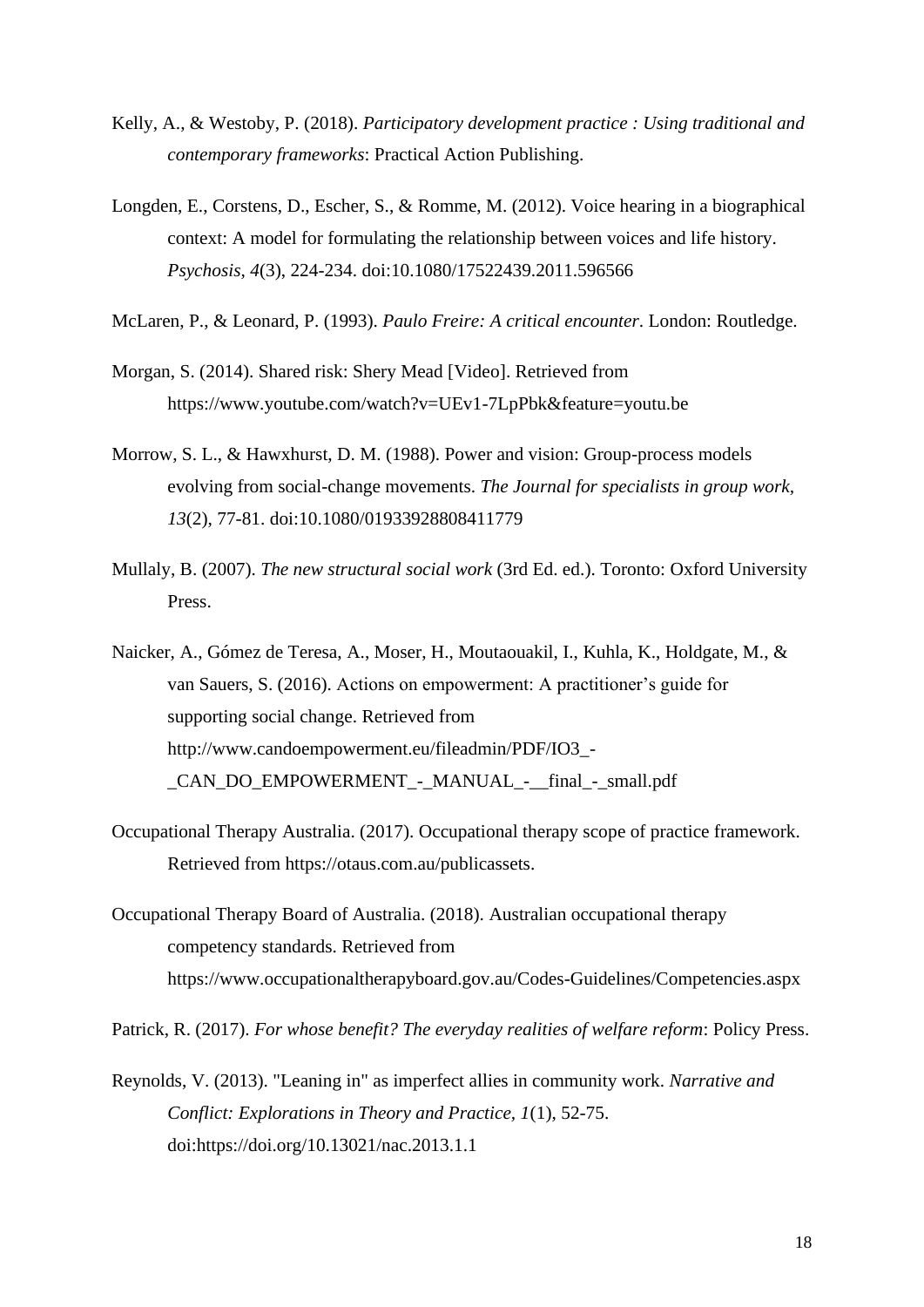- Kelly, A., & Westoby, P. (2018). *Participatory development practice : Using traditional and contemporary frameworks*: Practical Action Publishing.
- Longden, E., Corstens, D., Escher, S., & Romme, M. (2012). Voice hearing in a biographical context: A model for formulating the relationship between voices and life history. *Psychosis, 4*(3), 224-234. doi:10.1080/17522439.2011.596566
- McLaren, P., & Leonard, P. (1993). *Paulo Freire: A critical encounter*. London: Routledge.
- Morgan, S. (2014). Shared risk: Shery Mead [Video]. Retrieved from https://www.youtube.com/watch?v=UEv1-7LpPbk&feature=youtu.be
- Morrow, S. L., & Hawxhurst, D. M. (1988). Power and vision: Group-process models evolving from social-change movements. *The Journal for specialists in group work, 13*(2), 77-81. doi:10.1080/01933928808411779
- Mullaly, B. (2007). *The new structural social work* (3rd Ed. ed.). Toronto: Oxford University Press.
- Naicker, A., Gómez de Teresa, A., Moser, H., Moutaouakil, I., Kuhla, K., Holdgate, M., & van Sauers, S. (2016). Actions on empowerment: A practitioner's guide for supporting social change. Retrieved from http://www.candoempowerment.eu/fileadmin/PDF/IO3\_- CAN\_DO\_EMPOWERMENT - MANUAL - \_final\_-\_small.pdf
- Occupational Therapy Australia. (2017). Occupational therapy scope of practice framework. Retrieved from https://otaus.com.au/publicassets.
- Occupational Therapy Board of Australia. (2018). Australian occupational therapy competency standards. Retrieved from https://www.occupationaltherapyboard.gov.au/Codes-Guidelines/Competencies.aspx

Patrick, R. (2017). *For whose benefit? The everyday realities of welfare reform*: Policy Press.

Reynolds, V. (2013). "Leaning in" as imperfect allies in community work. *Narrative and Conflict: Explorations in Theory and Practice, 1*(1), 52-75. doi:https://doi.org/10.13021/nac.2013.1.1